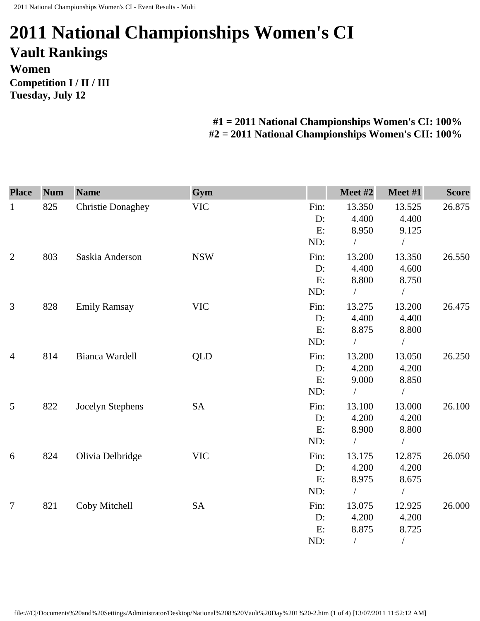## **2011 National Championships Women's CI Vault Rankings Women Competition I / II / III Tuesday, July 12**

## **#1 = 2011 National Championships Women's CI: 100% #2 = 2011 National Championships Women's CII: 100%**

| <b>Place</b>   | <b>Num</b> | <b>Name</b>              | Gym        |      | Meet #2    | Meet #1    | <b>Score</b> |
|----------------|------------|--------------------------|------------|------|------------|------------|--------------|
| $\mathbf{1}$   | 825        | <b>Christie Donaghey</b> | <b>VIC</b> | Fin: | 13.350     | 13.525     | 26.875       |
|                |            |                          |            | D:   | 4.400      | 4.400      |              |
|                |            |                          |            | E:   | 8.950      | 9.125      |              |
|                |            |                          |            | ND:  |            | $\sqrt{2}$ |              |
| $\overline{2}$ | 803        | Saskia Anderson          | <b>NSW</b> | Fin: | 13.200     | 13.350     | 26.550       |
|                |            |                          |            | D:   | 4.400      | 4.600      |              |
|                |            |                          |            | E:   | 8.800      | 8.750      |              |
|                |            |                          |            | ND:  |            |            |              |
| 3              | 828        | <b>Emily Ramsay</b>      | <b>VIC</b> | Fin: | 13.275     | 13.200     | 26.475       |
|                |            |                          |            | D:   | 4.400      | 4.400      |              |
|                |            |                          |            | E:   | 8.875      | 8.800      |              |
|                |            |                          |            | ND:  | $\sqrt{2}$ | $\sqrt{2}$ |              |
| $\overline{4}$ | 814        | Bianca Wardell           | <b>QLD</b> | Fin: | 13.200     | 13.050     | 26.250       |
|                |            |                          |            | D:   | 4.200      | 4.200      |              |
|                |            |                          |            | E:   | 9.000      | 8.850      |              |
|                |            |                          |            | ND:  | $\sqrt{2}$ | $\sqrt{2}$ |              |
| $\mathfrak{S}$ | 822        | Jocelyn Stephens         | <b>SA</b>  | Fin: | 13.100     | 13.000     | 26.100       |
|                |            |                          |            | D:   | 4.200      | 4.200      |              |
|                |            |                          |            | E:   | 8.900      | 8.800      |              |
|                |            |                          |            | ND:  |            |            |              |
| 6              | 824        | Olivia Delbridge         | <b>VIC</b> | Fin: | 13.175     | 12.875     | 26.050       |
|                |            |                          |            | D:   | 4.200      | 4.200      |              |
|                |            |                          |            | E:   | 8.975      | 8.675      |              |
|                |            |                          |            | ND:  | $\sqrt{2}$ | $\sqrt{2}$ |              |
| $\tau$         | 821        | Coby Mitchell            | <b>SA</b>  | Fin: | 13.075     | 12.925     | 26.000       |
|                |            |                          |            | D:   | 4.200      | 4.200      |              |
|                |            |                          |            | E:   | 8.875      | 8.725      |              |
|                |            |                          |            | ND:  | $\sqrt{2}$ | $\sqrt{2}$ |              |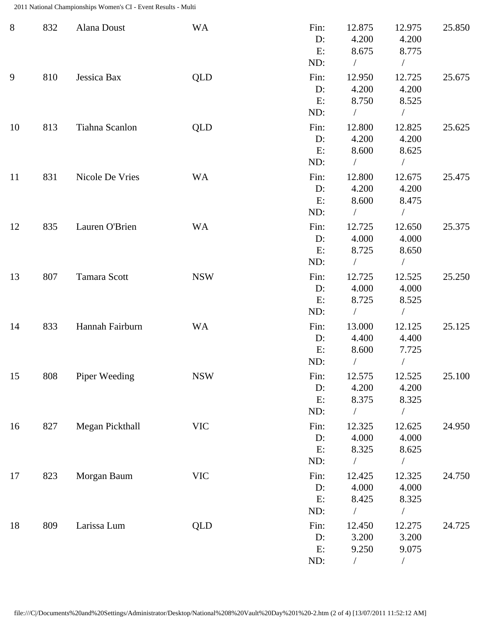2011 National Championships Women's CI - Event Results - Multi

| $8\phantom{1}$ | 832 | Alana Doust     | <b>WA</b>  | Fin:<br>D:<br>E:<br>ND:    | 12.875<br>4.200<br>8.675<br>$\sqrt{2}$    | 12.975<br>4.200<br>8.775<br>$\sqrt{2}$     | 25.850 |
|----------------|-----|-----------------|------------|----------------------------|-------------------------------------------|--------------------------------------------|--------|
| 9              | 810 | Jessica Bax     | QLD        | Fin:<br>$D$ :<br>E:<br>ND: | 12.950<br>4.200<br>8.750<br>$\frac{1}{2}$ | 12.725<br>4.200<br>8.525<br>$\sqrt{2}$     | 25.675 |
| 10             | 813 | Tiahna Scanlon  | QLD        | Fin:<br>D:<br>E:<br>ND:    | 12.800<br>4.200<br>8.600<br>$\sqrt{2}$    | 12.825<br>4.200<br>8.625<br>$\overline{ }$ | 25.625 |
| 11             | 831 | Nicole De Vries | <b>WA</b>  | Fin:<br>$D$ :<br>E:<br>ND: | 12.800<br>4.200<br>8.600<br>$\sqrt{2}$    | 12.675<br>4.200<br>8.475<br>$\sqrt{2}$     | 25.475 |
| 12             | 835 | Lauren O'Brien  | <b>WA</b>  | Fin:<br>$D$ :<br>E:<br>ND: | 12.725<br>4.000<br>8.725<br>$\sqrt{2}$    | 12.650<br>4.000<br>8.650<br>$\sqrt{2}$     | 25.375 |
| 13             | 807 | Tamara Scott    | <b>NSW</b> | Fin:<br>D:<br>E:<br>ND:    | 12.725<br>4.000<br>8.725<br>$\sqrt{2}$    | 12.525<br>4.000<br>8.525<br>$\sqrt{2}$     | 25.250 |
| 14             | 833 | Hannah Fairburn | <b>WA</b>  | Fin:<br>$D$ :<br>E:<br>ND: | 13.000<br>4.400<br>8.600                  | 12.125<br>4.400<br>7.725                   | 25.125 |
| 15             | 808 | Piper Weeding   | <b>NSW</b> | Fin:<br>D:<br>E:<br>ND:    | 12.575<br>4.200<br>8.375<br>$\sqrt{2}$    | 12.525<br>4.200<br>8.325<br>$\overline{1}$ | 25.100 |
| 16             | 827 | Megan Pickthall | <b>VIC</b> | Fin:<br>D:<br>E:<br>ND:    | 12.325<br>4.000<br>8.325                  | 12.625<br>4.000<br>8.625                   | 24.950 |
| 17             | 823 | Morgan Baum     | <b>VIC</b> | Fin:<br>D:<br>E:<br>ND:    | 12.425<br>4.000<br>8.425                  | 12.325<br>4.000<br>8.325<br>$\sqrt{2}$     | 24.750 |
| 18             | 809 | Larissa Lum     | QLD        | Fin:<br>D:<br>E:<br>ND:    | 12.450<br>3.200<br>9.250<br>$\sqrt{2}$    | 12.275<br>3.200<br>9.075<br>$\sqrt{2}$     | 24.725 |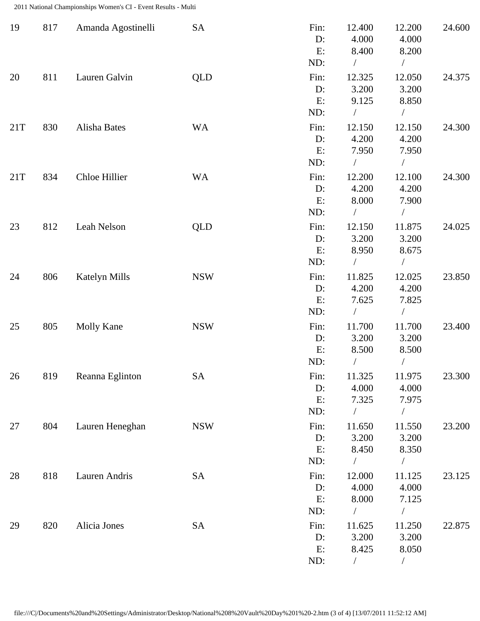2011 National Championships Women's CI - Event Results - Multi

| 19  | 817 | Amanda Agostinelli | <b>SA</b>  | Fin:<br>D:<br>E:<br>ND:    | 12.400<br>4.000<br>8.400             | 12.200<br>4.000<br>8.200                             | 24.600 |
|-----|-----|--------------------|------------|----------------------------|--------------------------------------|------------------------------------------------------|--------|
| 20  | 811 | Lauren Galvin      | <b>QLD</b> | Fin:<br>D:<br>E:<br>ND:    | 12.325<br>3.200<br>9.125             | 12.050<br>3.200<br>8.850<br>Т                        | 24.375 |
| 21T | 830 | Alisha Bates       | <b>WA</b>  | Fin:<br>D:<br>E:<br>ND:    | 12.150<br>4.200<br>7.950             | 12.150<br>4.200<br>7.950<br>$\overline{\phantom{a}}$ | 24.300 |
| 21T | 834 | Chloe Hillier      | <b>WA</b>  | Fin:<br>D:<br>E:<br>ND:    | 12.200<br>4.200<br>8.000             | 12.100<br>4.200<br>7.900                             | 24.300 |
| 23  | 812 | Leah Nelson        | <b>QLD</b> | Fin:<br>D:<br>E:<br>ND:    | 12.150<br>3.200<br>8.950<br>$\bigg)$ | 11.875<br>3.200<br>8.675<br>$\sqrt{2}$               | 24.025 |
| 24  | 806 | Katelyn Mills      | <b>NSW</b> | Fin:<br>D:<br>E:<br>ND:    | 11.825<br>4.200<br>7.625             | 12.025<br>4.200<br>7.825                             | 23.850 |
| 25  | 805 | <b>Molly Kane</b>  | <b>NSW</b> | Fin:<br>D:<br>E:<br>ND:    | 11.700<br>3.200<br>8.500             | 11.700<br>3.200<br>8.500                             | 23.400 |
| 26  | 819 | Reanna Eglinton    | SA         | Fin:<br>D:<br>E:<br>ND:    | 11.325<br>4.000<br>7.325<br>$\bigg)$ | 11.975<br>4.000<br>7.975<br>$\overline{\phantom{a}}$ | 23.300 |
| 27  | 804 | Lauren Heneghan    | <b>NSW</b> | Fin:<br>$D$ :<br>E:<br>ND: | 11.650<br>3.200<br>8.450             | 11.550<br>3.200<br>8.350                             | 23.200 |
| 28  | 818 | Lauren Andris      | <b>SA</b>  | Fin:<br>D:<br>E:<br>ND:    | 12.000<br>4.000<br>8.000<br>$\bigg)$ | 11.125<br>4.000<br>7.125<br>$\sqrt{2}$               | 23.125 |
| 29  | 820 | Alicia Jones       | SA         | Fin:<br>$D$ :<br>E:<br>ND: | 11.625<br>3.200<br>8.425<br>$\bigg)$ | 11.250<br>3.200<br>8.050<br>Т                        | 22.875 |